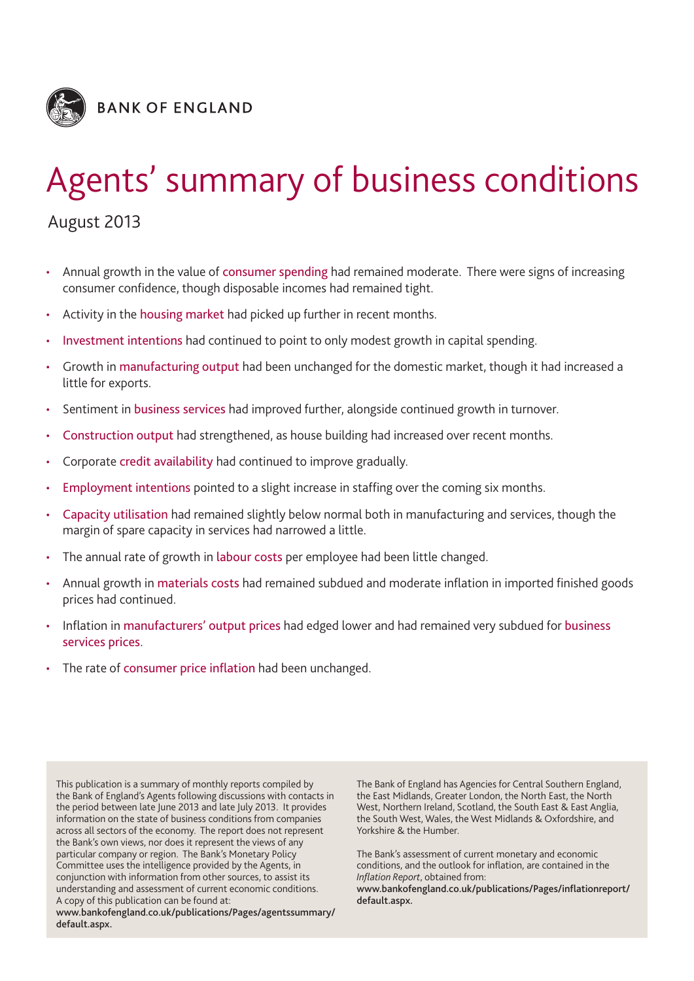

# Agents' summary of business conditions

August 2013

- Annual growth in the value of consumer spending had remained moderate. There were signs of increasing consumer confidence, though disposable incomes had remained tight.
- Activity in the housing market had picked up further in recent months.
- Investment intentions had continued to point to only modest growth in capital spending.
- Growth in manufacturing output had been unchanged for the domestic market, though it had increased a little for exports.
- Sentiment in business services had improved further, alongside continued growth in turnover.
- Construction output had strengthened, as house building had increased over recent months.
- Corporate credit availability had continued to improve gradually.
- Employment intentions pointed to a slight increase in staffing over the coming six months.
- Capacity utilisation had remained slightly below normal both in manufacturing and services, though the margin of spare capacity in services had narrowed a little.
- The annual rate of growth in labour costs per employee had been little changed.
- Annual growth in materials costs had remained subdued and moderate inflation in imported finished goods prices had continued.
- Inflation in manufacturers' output prices had edged lower and had remained very subdued for business services prices.
- The rate of consumer price inflation had been unchanged.

This publication is a summary of monthly reports compiled by the Bank of England's Agents following discussions with contacts in the period between late June 2013 and late July 2013. It provides information on the state of business conditions from companies across all sectors of the economy. The report does not represent the Bank's own views, nor does it represent the views of any particular company or region. The Bank's Monetary Policy Committee uses the intelligence provided by the Agents, in conjunction with information from other sources, to assist its understanding and assessment of current economic conditions. A copy of this publication can be found at:

**www.bankofengland.co.uk/publications/Pages/agentssummary/ default.aspx.**

The Bank of England has Agencies for Central Southern England, the East Midlands, Greater London, the North East, the North West, Northern Ireland, Scotland, the South East & East Anglia, the South West, Wales, the West Midlands & Oxfordshire, and Yorkshire & the Humber.

The Bank's assessment of current monetary and economic conditions, and the outlook for inflation, are contained in the *Inflation Report*, obtained from:

**www.bankofengland.co.uk/publications/Pages/inflationreport/ default.aspx.**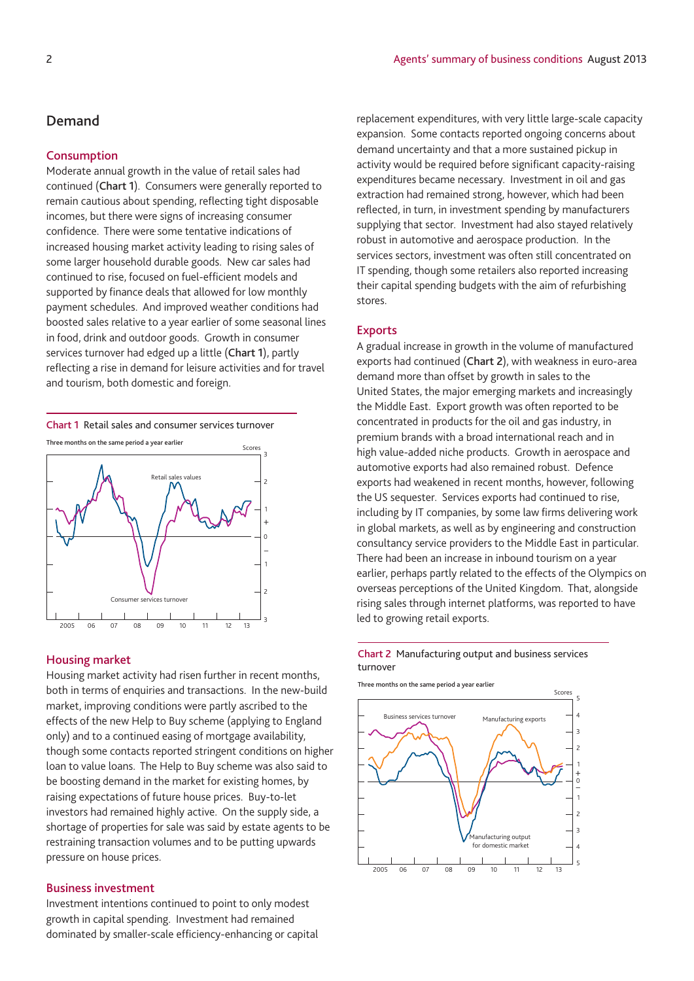## **Demand**

#### **Consumption**

Moderate annual growth in the value of retail sales had continued (**Chart 1**). Consumers were generally reported to remain cautious about spending, reflecting tight disposable incomes, but there were signs of increasing consumer confidence. There were some tentative indications of increased housing market activity leading to rising sales of some larger household durable goods. New car sales had continued to rise, focused on fuel-efficient models and supported by finance deals that allowed for low monthly payment schedules. And improved weather conditions had boosted sales relative to a year earlier of some seasonal lines in food, drink and outdoor goods. Growth in consumer services turnover had edged up a little (**Chart 1**), partly reflecting a rise in demand for leisure activities and for travel and tourism, both domestic and foreign.

**Chart 1** Retail sales and consumer services turnover



## **Housing market**

Housing market activity had risen further in recent months, both in terms of enquiries and transactions. In the new-build market, improving conditions were partly ascribed to the effects of the new Help to Buy scheme (applying to England only) and to a continued easing of mortgage availability, though some contacts reported stringent conditions on higher loan to value loans. The Help to Buy scheme was also said to be boosting demand in the market for existing homes, by raising expectations of future house prices. Buy-to-let investors had remained highly active. On the supply side, a shortage of properties for sale was said by estate agents to be restraining transaction volumes and to be putting upwards pressure on house prices.

#### **Business investment**

Investment intentions continued to point to only modest growth in capital spending. Investment had remained dominated by smaller-scale efficiency-enhancing or capital replacement expenditures, with very little large-scale capacity expansion. Some contacts reported ongoing concerns about demand uncertainty and that a more sustained pickup in activity would be required before significant capacity-raising expenditures became necessary. Investment in oil and gas extraction had remained strong, however, which had been reflected, in turn, in investment spending by manufacturers supplying that sector. Investment had also stayed relatively robust in automotive and aerospace production. In the services sectors, investment was often still concentrated on IT spending, though some retailers also reported increasing their capital spending budgets with the aim of refurbishing stores.

#### **Exports**

A gradual increase in growth in the volume of manufactured exports had continued (**Chart 2**), with weakness in euro-area demand more than offset by growth in sales to the United States, the major emerging markets and increasingly the Middle East. Export growth was often reported to be concentrated in products for the oil and gas industry, in premium brands with a broad international reach and in high value-added niche products. Growth in aerospace and automotive exports had also remained robust. Defence exports had weakened in recent months, however, following the US sequester. Services exports had continued to rise, including by IT companies, by some law firms delivering work in global markets, as well as by engineering and construction consultancy service providers to the Middle East in particular. There had been an increase in inbound tourism on a year earlier, perhaps partly related to the effects of the Olympics on overseas perceptions of the United Kingdom. That, alongside rising sales through internet platforms, was reported to have led to growing retail exports.

## **Chart 2** Manufacturing output and business services turnover

**Three months on the same period a year earlier**

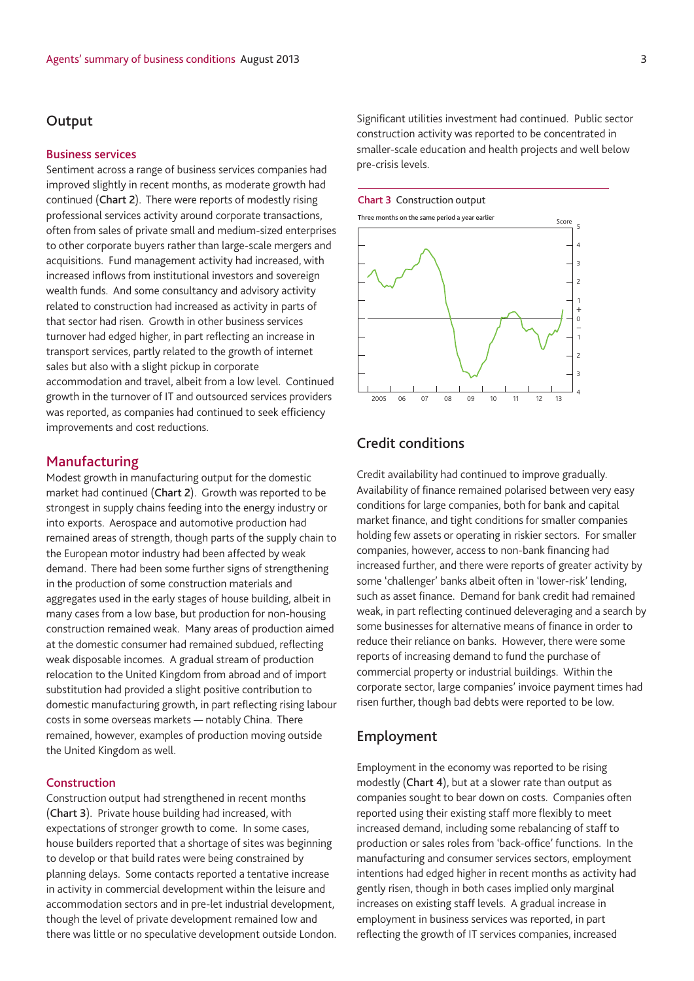# **Output**

### **Business services**

Sentiment across a range of business services companies had improved slightly in recent months, as moderate growth had continued (**Chart 2**). There were reports of modestly rising professional services activity around corporate transactions, often from sales of private small and medium-sized enterprises to other corporate buyers rather than large-scale mergers and acquisitions. Fund management activity had increased, with increased inflows from institutional investors and sovereign wealth funds. And some consultancy and advisory activity related to construction had increased as activity in parts of that sector had risen. Growth in other business services turnover had edged higher, in part reflecting an increase in transport services, partly related to the growth of internet sales but also with a slight pickup in corporate accommodation and travel, albeit from a low level. Continued growth in the turnover of IT and outsourced services providers was reported, as companies had continued to seek efficiency improvements and cost reductions.

## **Manufacturing**

Modest growth in manufacturing output for the domestic market had continued (**Chart 2**). Growth was reported to be strongest in supply chains feeding into the energy industry or into exports. Aerospace and automotive production had remained areas of strength, though parts of the supply chain to the European motor industry had been affected by weak demand. There had been some further signs of strengthening in the production of some construction materials and aggregates used in the early stages of house building, albeit in many cases from a low base, but production for non-housing construction remained weak. Many areas of production aimed at the domestic consumer had remained subdued, reflecting weak disposable incomes. A gradual stream of production relocation to the United Kingdom from abroad and of import substitution had provided a slight positive contribution to domestic manufacturing growth, in part reflecting rising labour costs in some overseas markets — notably China. There remained, however, examples of production moving outside the United Kingdom as well.

## **Construction**

Construction output had strengthened in recent months (**Chart 3**). Private house building had increased, with expectations of stronger growth to come. In some cases, house builders reported that a shortage of sites was beginning to develop or that build rates were being constrained by planning delays. Some contacts reported a tentative increase in activity in commercial development within the leisure and accommodation sectors and in pre-let industrial development, though the level of private development remained low and there was little or no speculative development outside London. Significant utilities investment had continued. Public sector construction activity was reported to be concentrated in smaller-scale education and health projects and well below pre-crisis levels.

#### **Chart 3** Construction output

**Three months on the same period a year earlier**



# **Credit conditions**

Credit availability had continued to improve gradually. Availability of finance remained polarised between very easy conditions for large companies, both for bank and capital market finance, and tight conditions for smaller companies holding few assets or operating in riskier sectors. For smaller companies, however, access to non-bank financing had increased further, and there were reports of greater activity by some 'challenger' banks albeit often in 'lower-risk' lending, such as asset finance. Demand for bank credit had remained weak, in part reflecting continued deleveraging and a search by some businesses for alternative means of finance in order to reduce their reliance on banks. However, there were some reports of increasing demand to fund the purchase of commercial property or industrial buildings. Within the corporate sector, large companies' invoice payment times had risen further, though bad debts were reported to be low.

# **Employment**

Employment in the economy was reported to be rising modestly (**Chart 4**), but at a slower rate than output as companies sought to bear down on costs. Companies often reported using their existing staff more flexibly to meet increased demand, including some rebalancing of staff to production or sales roles from 'back-office' functions. In the manufacturing and consumer services sectors, employment intentions had edged higher in recent months as activity had gently risen, though in both cases implied only marginal increases on existing staff levels. A gradual increase in employment in business services was reported, in part reflecting the growth of IT services companies, increased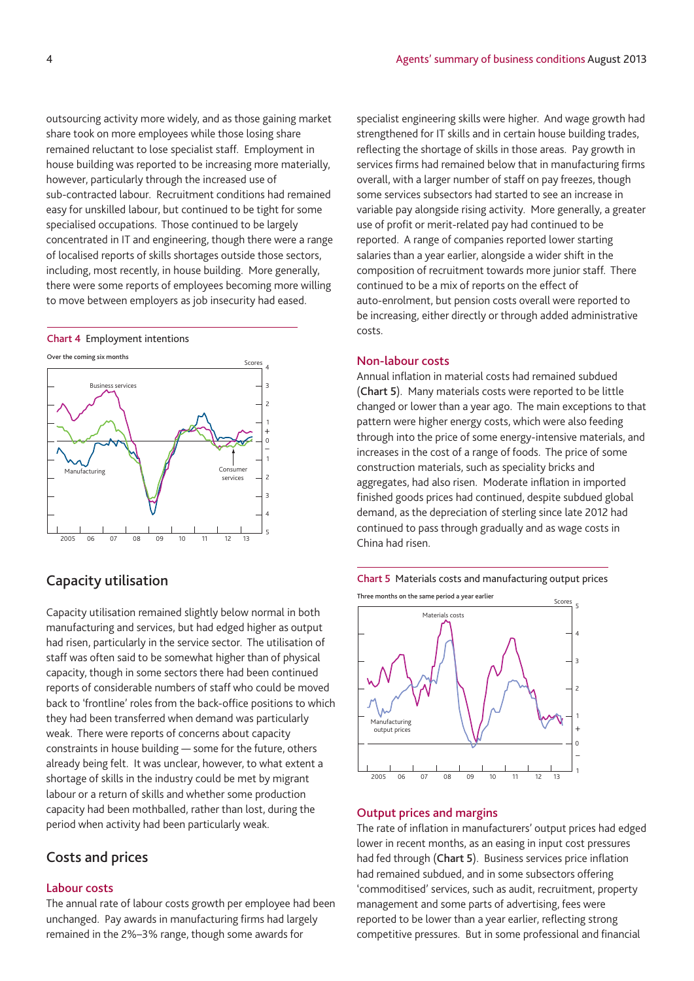outsourcing activity more widely, and as those gaining market share took on more employees while those losing share remained reluctant to lose specialist staff. Employment in house building was reported to be increasing more materially, however, particularly through the increased use of sub-contracted labour. Recruitment conditions had remained easy for unskilled labour, but continued to be tight for some specialised occupations. Those continued to be largely concentrated in IT and engineering, though there were a range of localised reports of skills shortages outside those sectors, including, most recently, in house building. More generally, there were some reports of employees becoming more willing to move between employers as job insecurity had eased.





# **Capacity utilisation**

Capacity utilisation remained slightly below normal in both manufacturing and services, but had edged higher as output had risen, particularly in the service sector. The utilisation of staff was often said to be somewhat higher than of physical capacity, though in some sectors there had been continued reports of considerable numbers of staff who could be moved back to 'frontline' roles from the back-office positions to which they had been transferred when demand was particularly weak. There were reports of concerns about capacity constraints in house building — some for the future, others already being felt. It was unclear, however, to what extent a shortage of skills in the industry could be met by migrant labour or a return of skills and whether some production capacity had been mothballed, rather than lost, during the period when activity had been particularly weak.

# **Costs and prices**

#### **Labour costs**

The annual rate of labour costs growth per employee had been unchanged. Pay awards in manufacturing firms had largely remained in the 2%–3% range, though some awards for

specialist engineering skills were higher. And wage growth had strengthened for IT skills and in certain house building trades, reflecting the shortage of skills in those areas. Pay growth in services firms had remained below that in manufacturing firms overall, with a larger number of staff on pay freezes, though some services subsectors had started to see an increase in variable pay alongside rising activity. More generally, a greater use of profit or merit-related pay had continued to be reported. A range of companies reported lower starting salaries than a year earlier, alongside a wider shift in the composition of recruitment towards more junior staff. There continued to be a mix of reports on the effect of auto-enrolment, but pension costs overall were reported to be increasing, either directly or through added administrative costs.

## **Non-labour costs**

Annual inflation in material costs had remained subdued (**Chart 5**). Many materials costs were reported to be little changed or lower than a year ago. The main exceptions to that pattern were higher energy costs, which were also feeding through into the price of some energy-intensive materials, and increases in the cost of a range of foods. The price of some construction materials, such as speciality bricks and aggregates, had also risen. Moderate inflation in imported finished goods prices had continued, despite subdued global demand, as the depreciation of sterling since late 2012 had continued to pass through gradually and as wage costs in China had risen.





#### **Output prices and margins**

The rate of inflation in manufacturers' output prices had edged lower in recent months, as an easing in input cost pressures had fed through (**Chart 5**). Business services price inflation had remained subdued, and in some subsectors offering 'commoditised' services, such as audit, recruitment, property management and some parts of advertising, fees were reported to be lower than a year earlier, reflecting strong competitive pressures. But in some professional and financial